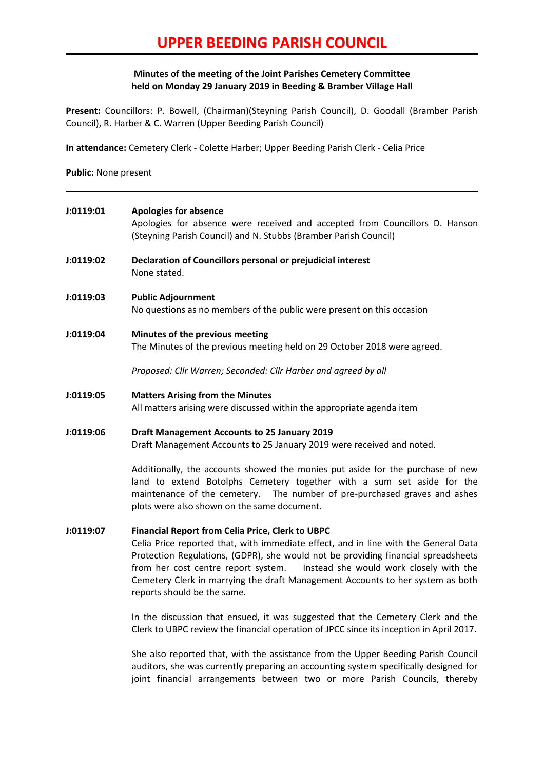# **UPPER BEEDING PARISH COUNCIL**

## **Minutes of the meeting of the Joint Parishes Cemetery Committee held on Monday 29 January 2019 in Beeding & Bramber Village Hall**

**Present:** Councillors: P. Bowell, (Chairman)(Steyning Parish Council), D. Goodall (Bramber Parish Council), R. Harber & C. Warren (Upper Beeding Parish Council)

**In attendance:** Cemetery Clerk - Colette Harber; Upper Beeding Parish Clerk - Celia Price

**Public:** None present

| J:0119:01 | <b>Apologies for absence</b><br>Apologies for absence were received and accepted from Councillors D. Hanson<br>(Steyning Parish Council) and N. Stubbs (Bramber Parish Council)                                                                                                                                                                                                                                                        |
|-----------|----------------------------------------------------------------------------------------------------------------------------------------------------------------------------------------------------------------------------------------------------------------------------------------------------------------------------------------------------------------------------------------------------------------------------------------|
| J:0119:02 | Declaration of Councillors personal or prejudicial interest<br>None stated.                                                                                                                                                                                                                                                                                                                                                            |
| J:0119:03 | <b>Public Adjournment</b><br>No questions as no members of the public were present on this occasion                                                                                                                                                                                                                                                                                                                                    |
| J:0119:04 | Minutes of the previous meeting<br>The Minutes of the previous meeting held on 29 October 2018 were agreed.                                                                                                                                                                                                                                                                                                                            |
|           | Proposed: Cllr Warren; Seconded: Cllr Harber and agreed by all                                                                                                                                                                                                                                                                                                                                                                         |
| J:0119:05 | <b>Matters Arising from the Minutes</b><br>All matters arising were discussed within the appropriate agenda item                                                                                                                                                                                                                                                                                                                       |
| J:0119:06 | <b>Draft Management Accounts to 25 January 2019</b><br>Draft Management Accounts to 25 January 2019 were received and noted.                                                                                                                                                                                                                                                                                                           |
|           | Additionally, the accounts showed the monies put aside for the purchase of new<br>land to extend Botolphs Cemetery together with a sum set aside for the<br>maintenance of the cemetery.  The number of pre-purchased graves and ashes<br>plots were also shown on the same document.                                                                                                                                                  |
| J:0119:07 | <b>Financial Report from Celia Price, Clerk to UBPC</b><br>Celia Price reported that, with immediate effect, and in line with the General Data<br>Protection Regulations, (GDPR), she would not be providing financial spreadsheets<br>Instead she would work closely with the<br>from her cost centre report system.<br>Cemetery Clerk in marrying the draft Management Accounts to her system as both<br>reports should be the same. |
|           | In the discussion that ensued, it was suggested that the Cemetery Clerk and the<br>Clerk to UBPC review the financial operation of JPCC since its inception in April 2017.                                                                                                                                                                                                                                                             |

She also reported that, with the assistance from the Upper Beeding Parish Council auditors, she was currently preparing an accounting system specifically designed for joint financial arrangements between two or more Parish Councils, thereby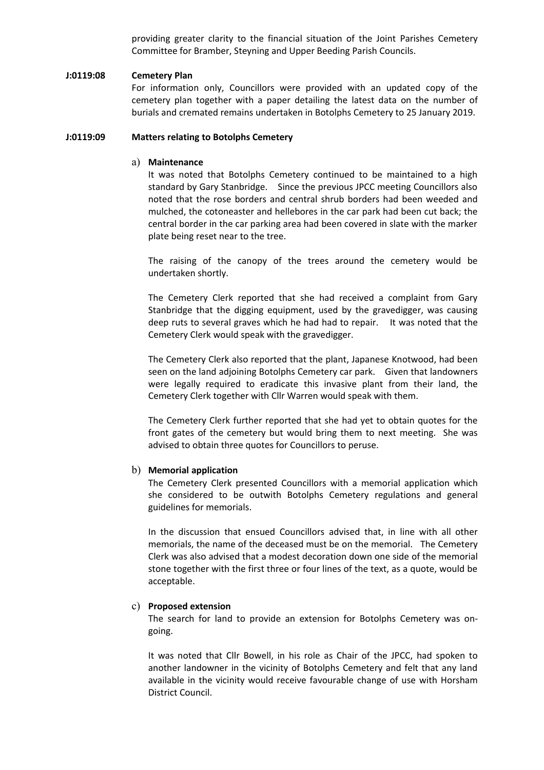providing greater clarity to the financial situation of the Joint Parishes Cemetery Committee for Bramber, Steyning and Upper Beeding Parish Councils.

### **J:0119:08 Cemetery Plan**

For information only, Councillors were provided with an updated copy of the cemetery plan together with a paper detailing the latest data on the number of burials and cremated remains undertaken in Botolphs Cemetery to 25 January 2019.

#### **J:0119:09 Matters relating to Botolphs Cemetery**

#### a) **Maintenance**

It was noted that Botolphs Cemetery continued to be maintained to a high standard by Gary Stanbridge. Since the previous JPCC meeting Councillors also noted that the rose borders and central shrub borders had been weeded and mulched, the cotoneaster and hellebores in the car park had been cut back; the central border in the car parking area had been covered in slate with the marker plate being reset near to the tree.

The raising of the canopy of the trees around the cemetery would be undertaken shortly.

The Cemetery Clerk reported that she had received a complaint from Gary Stanbridge that the digging equipment, used by the gravedigger, was causing deep ruts to several graves which he had had to repair. It was noted that the Cemetery Clerk would speak with the gravedigger.

The Cemetery Clerk also reported that the plant, Japanese Knotwood, had been seen on the land adjoining Botolphs Cemetery car park. Given that landowners were legally required to eradicate this invasive plant from their land, the Cemetery Clerk together with Cllr Warren would speak with them.

The Cemetery Clerk further reported that she had yet to obtain quotes for the front gates of the cemetery but would bring them to next meeting. She was advised to obtain three quotes for Councillors to peruse.

#### b) **Memorial application**

The Cemetery Clerk presented Councillors with a memorial application which she considered to be outwith Botolphs Cemetery regulations and general guidelines for memorials.

In the discussion that ensued Councillors advised that, in line with all other memorials, the name of the deceased must be on the memorial. The Cemetery Clerk was also advised that a modest decoration down one side of the memorial stone together with the first three or four lines of the text, as a quote, would be acceptable.

### c) **Proposed extension**

The search for land to provide an extension for Botolphs Cemetery was ongoing.

It was noted that Cllr Bowell, in his role as Chair of the JPCC, had spoken to another landowner in the vicinity of Botolphs Cemetery and felt that any land available in the vicinity would receive favourable change of use with Horsham District Council.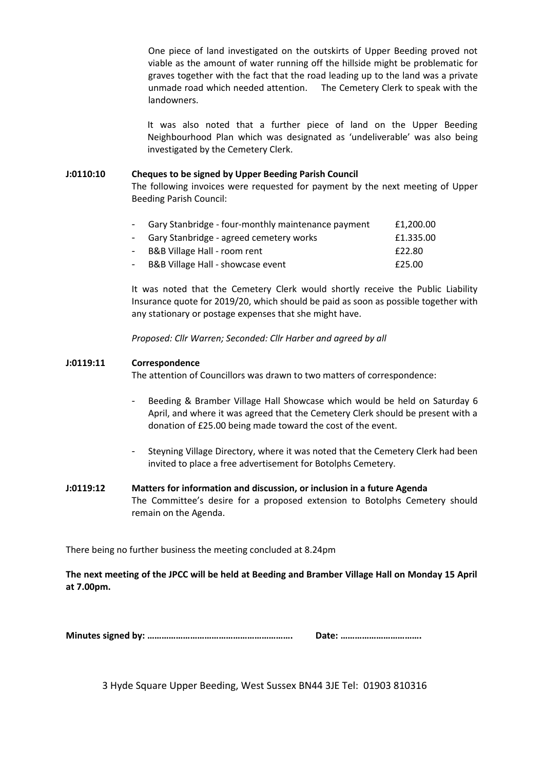One piece of land investigated on the outskirts of Upper Beeding proved not viable as the amount of water running off the hillside might be problematic for graves together with the fact that the road leading up to the land was a private unmade road which needed attention. The Cemetery Clerk to speak with the landowners.

It was also noted that a further piece of land on the Upper Beeding Neighbourhood Plan which was designated as 'undeliverable' was also being investigated by the Cemetery Clerk.

## **J:0110:10 Cheques to be signed by Upper Beeding Parish Council**

The following invoices were requested for payment by the next meeting of Upper Beeding Parish Council:

| - Gary Stanbridge - four-monthly maintenance payment | £1,200.00 |
|------------------------------------------------------|-----------|
| - Gary Stanbridge - agreed cemetery works            | £1.335.00 |
| - B&B Village Hall - room rent                       | £22.80    |
| B&B Village Hall - showcase event                    | £25.00    |

It was noted that the Cemetery Clerk would shortly receive the Public Liability Insurance quote for 2019/20, which should be paid as soon as possible together with any stationary or postage expenses that she might have.

*Proposed: Cllr Warren; Seconded: Cllr Harber and agreed by all*

## **J:0119:11 Correspondence**

The attention of Councillors was drawn to two matters of correspondence:

- Beeding & Bramber Village Hall Showcase which would be held on Saturday 6 April, and where it was agreed that the Cemetery Clerk should be present with a donation of £25.00 being made toward the cost of the event.
- Steyning Village Directory, where it was noted that the Cemetery Clerk had been invited to place a free advertisement for Botolphs Cemetery.

# **J:0119:12 Matters for information and discussion, or inclusion in a future Agenda** The Committee's desire for a proposed extension to Botolphs Cemetery should remain on the Agenda.

There being no further business the meeting concluded at 8.24pm

**The next meeting of the JPCC will be held at Beeding and Bramber Village Hall on Monday 15 April at 7.00pm.**

|--|--|

3 Hyde Square Upper Beeding, West Sussex BN44 3JE Tel: 01903 810316